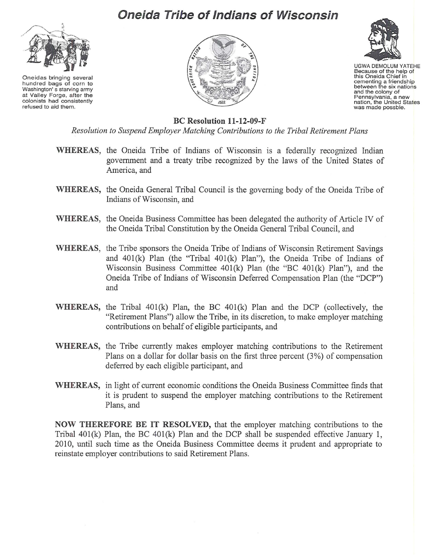## **Oneida Tribe of Indians of Wisconsin**



Oneidas bringing several hundred bags of corn to Washington' s starving army at Valley Forge, after the colonists had consistently refused to aid them.





UGWA DEMOLUM YATEHE Because of the help of this Oneida Chief in cementing a friendship<br>between the six nations and the colony of Pennsylvania, a new<br>nation, the United States was made possble.

## BC Resolution 11-12-09-F

*Resolution to Suspend Employer Matching Contributions to the Tribal Retirement Plans*

- WHEREAS, the Oneida Tribe of Indians of Wisconsin is a federally recognized Indian government and a treaty tribe recognized by the laws of the United States of America, and
- WHEREAS, the Oneida General Tribal Council is the governing body of the Oneida Tribe of Indians of Wisconsin, and
- WHEREAS, the Oneida Business Committee has been delegated the authority of Article IV of the Oneida Tribal Constitution by the Oneida General Tribal Council, and
- WHEREAS, the Tribe sponsors the Oneida Tribe of Indians of Wisconsin Retirement Savings and 401(k) Plan (the "Tribal 401(k) Plan"), the Oneida Tribe of Indians of Wisconsin Business Committee 401(k) Plan (the "BC 401(k) Plan"), and the Oneida Tribe of Indians of Wisconsin Deferred Compensation Plan (the "DCP") and
- WHEREAS, the Tribal 401(k) Plan, the BC 401(k) Plan and the DCP (collectively, the "Retirement Plans") allow the Tribe, in its discretion, to make employer matching contributions on behalf of eligible participants, and
- WHEREAS, the Tribe currently makes employer matching contributions to the Retirement Plans on a dollar for dollar basis on the first three percent (3%) of compensation deferred by each eligible participant, and
- WHEREAS, in light of current economic conditions the Oneida Business Committee finds that it is prudent to suspend the employer matching contributions to the Retirement Plans, and

NOW THEREFORE BE IT RESOLVED, that the employer matching contributions to the Tribal 401(k) Plan, the BC 401(k) Plan and the DCP shall be suspended effective January 1, 20I0, until such time as the Oneida Business Committee deems it prudent and appropriate to reinstate employer contributions to said Retirement Plans.